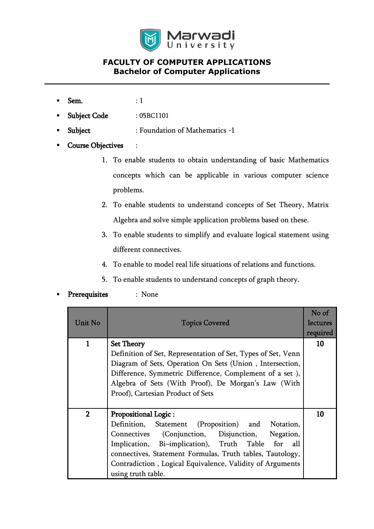

# **FACULTY OF COMPUTER APPLICATIONS Bachelor of Computer Applications**

- $Sem.$  : 1
- Subject Code : 05BC1101
- Subject : Foundation of Mathematics -1
- **Course Objectives** :
	- 1. To enable students to obtain understanding of basic Mathematics concepts which can be applicable in various computer science problems.
	- 2. To enable students to understand concepts of Set Theory, Matrix Algebra and solve simple application problems based on these.
	- 3. To enable students to simplify and evaluate logical statement using different connectives.
	- 4. To enable to model real life situations of relations and functions.
	- 5. To enable students to understand concepts of graph theory.
- **Prerequisites** : None

| Unit No        | <b>Topics Covered</b>                                        | No of<br>lectures |
|----------------|--------------------------------------------------------------|-------------------|
|                |                                                              | required          |
|                | <b>Set Theory</b>                                            | 10                |
|                | Definition of Set, Representation of Set, Types of Set, Venn |                   |
|                | Diagram of Sets, Operation On Sets (Union, Intersection,     |                   |
|                | Difference, Symmetric Difference, Complement of a set),      |                   |
|                | Algebra of Sets (With Proof), De Morgan's Law (With          |                   |
|                | Proof), Cartesian Product of Sets                            |                   |
|                |                                                              |                   |
| $\overline{2}$ | <b>Propositional Logic:</b>                                  | 10                |
|                | Definition, Statement (Proposition) and Notation,            |                   |
|                | Connectives (Conjunction, Disjunction,<br>Negation,          |                   |
|                | Implication, Bi-implication), Truth Table for all            |                   |
|                | connectives, Statement Formulas, Truth tables, Tautology,    |                   |
|                | Contradiction, Logical Equivalence, Validity of Arguments    |                   |
|                | using truth table.                                           |                   |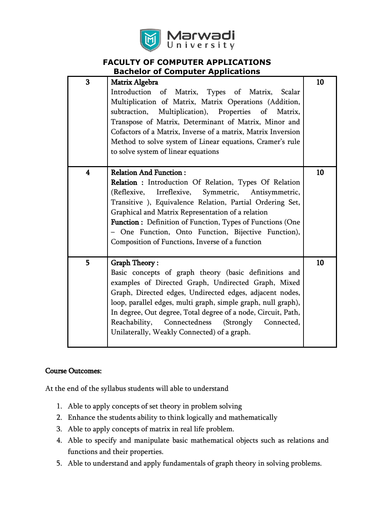

### **FACULTY OF COMPUTER APPLICATIONS Bachelor of Computer Applications**

| Introduction of Matrix, Types of Matrix, Scalar<br>Multiplication of Matrix, Matrix Operations (Addition,<br>Multiplication), Properties of<br>subtraction,<br>Matrix,<br>Transpose of Matrix, Determinant of Matrix, Minor and<br>Cofactors of a Matrix, Inverse of a matrix, Matrix Inversion<br>Method to solve system of Linear equations, Cramer's rule<br>to solve system of linear equations                                   | 10                                              |
|---------------------------------------------------------------------------------------------------------------------------------------------------------------------------------------------------------------------------------------------------------------------------------------------------------------------------------------------------------------------------------------------------------------------------------------|-------------------------------------------------|
| Relation : Introduction Of Relation, Types Of Relation<br>Irreflexive, Symmetric, Antisymmetric,<br>(Reflexive,<br>Transitive ), Equivalence Relation, Partial Ordering Set,<br>Graphical and Matrix Representation of a relation<br><b>Function:</b> Definition of Function, Types of Functions (One<br>- One Function, Onto Function, Bijective Function),<br>Composition of Functions, Inverse of a function                       | 10                                              |
| <b>Graph Theory:</b><br>Basic concepts of graph theory (basic definitions and<br>examples of Directed Graph, Undirected Graph, Mixed<br>Graph, Directed edges, Undirected edges, adjacent nodes,<br>loop, parallel edges, multi graph, simple graph, null graph),<br>In degree, Out degree, Total degree of a node, Circuit, Path,<br>Reachability, Connectedness (Strongly Connected,<br>Unilaterally, Weakly Connected) of a graph. | 10                                              |
|                                                                                                                                                                                                                                                                                                                                                                                                                                       | Matrix Algebra<br><b>Relation And Function:</b> |

## Course Outcomes:

At the end of the syllabus students will able to understand

- 1. Able to apply concepts of set theory in problem solving
- 2. Enhance the students ability to think logically and mathematically
- 3. Able to apply concepts of matrix in real life problem.
- 4. Able to specify and manipulate basic mathematical objects such as relations and functions and their properties.
- 5. Able to understand and apply fundamentals of graph theory in solving problems.